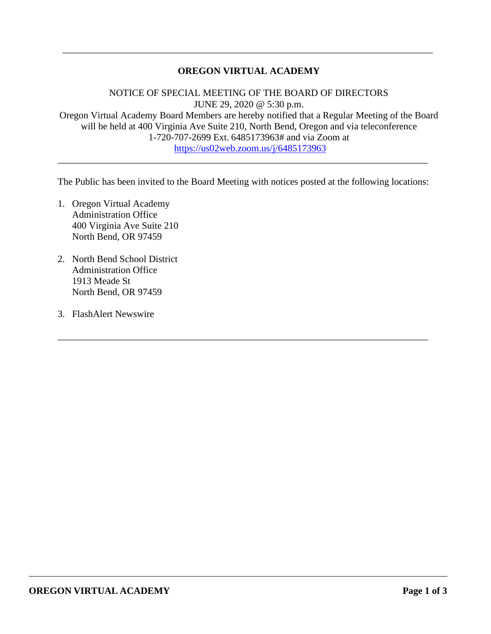## **OREGON VIRTUAL ACADEMY**

\_\_\_\_\_\_\_\_\_\_\_\_\_\_\_\_\_\_\_\_\_\_\_\_\_\_\_\_\_\_\_\_\_\_\_\_\_\_\_\_\_\_\_\_\_\_\_\_\_\_\_\_\_\_\_\_\_\_\_\_\_\_\_\_\_\_\_\_\_\_\_\_\_\_\_\_\_

NOTICE OF SPECIAL MEETING OF THE BOARD OF DIRECTORS JUNE 29, 2020 @ 5:30 p.m. Oregon Virtual Academy Board Members are hereby notified that a Regular Meeting of the Board will be held at 400 Virginia Ave Suite 210, North Bend, Oregon and via teleconference 1-720-707-2699 Ext. 6485173963# and via Zoom at <https://us02web.zoom.us/j/6485173963>

The Public has been invited to the Board Meeting with notices posted at the following locations:

\_\_\_\_\_\_\_\_\_\_\_\_\_\_\_\_\_\_\_\_\_\_\_\_\_\_\_\_\_\_\_\_\_\_\_\_\_\_\_\_\_\_\_\_\_\_\_\_\_\_\_\_\_\_\_\_\_\_\_\_\_\_\_\_\_\_\_\_\_\_\_\_\_\_\_\_\_

\_\_\_\_\_\_\_\_\_\_\_\_\_\_\_\_\_\_\_\_\_\_\_\_\_\_\_\_\_\_\_\_\_\_\_\_\_\_\_\_\_\_\_\_\_\_\_\_\_\_\_\_\_\_\_\_\_\_\_\_\_\_\_\_\_\_\_\_\_\_\_\_\_\_\_\_\_

- 1. Oregon Virtual Academy Administration Office 400 Virginia Ave Suite 210 North Bend, OR 97459
- 2. North Bend School District Administration Office 1913 Meade St North Bend, OR 97459
- 3. FlashAlert Newswire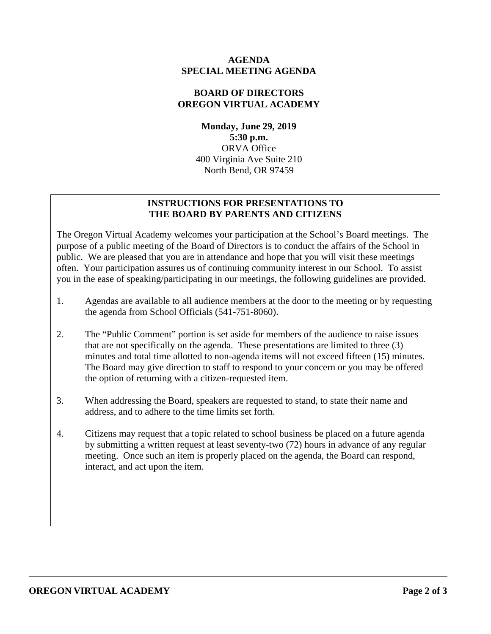### **AGENDA SPECIAL MEETING AGENDA**

## **BOARD OF DIRECTORS OREGON VIRTUAL ACADEMY**

**Monday, June 29, 2019 5:30 p.m.** ORVA Office 400 Virginia Ave Suite 210 North Bend, OR 97459

# **INSTRUCTIONS FOR PRESENTATIONS TO THE BOARD BY PARENTS AND CITIZENS**

The Oregon Virtual Academy welcomes your participation at the School's Board meetings. The purpose of a public meeting of the Board of Directors is to conduct the affairs of the School in public. We are pleased that you are in attendance and hope that you will visit these meetings often. Your participation assures us of continuing community interest in our School. To assist you in the ease of speaking/participating in our meetings, the following guidelines are provided.

- 1. Agendas are available to all audience members at the door to the meeting or by requesting the agenda from School Officials (541-751-8060).
- 2. The "Public Comment" portion is set aside for members of the audience to raise issues that are not specifically on the agenda. These presentations are limited to three (3) minutes and total time allotted to non-agenda items will not exceed fifteen (15) minutes. The Board may give direction to staff to respond to your concern or you may be offered the option of returning with a citizen-requested item.
- 3. When addressing the Board, speakers are requested to stand, to state their name and address, and to adhere to the time limits set forth.
- 4. Citizens may request that a topic related to school business be placed on a future agenda by submitting a written request at least seventy-two (72) hours in advance of any regular meeting. Once such an item is properly placed on the agenda, the Board can respond, interact, and act upon the item.